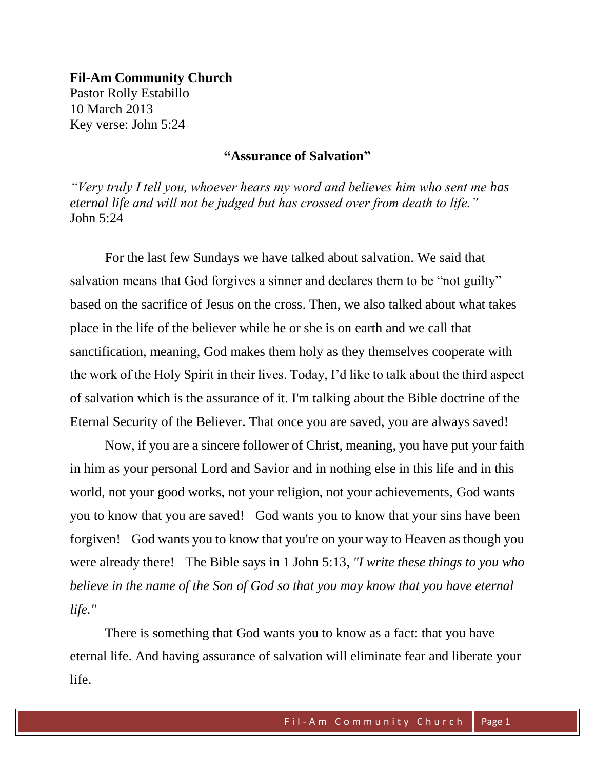**Fil-Am Community Church** Pastor Rolly Estabillo 10 March 2013 Key verse: John 5:24

# **"Assurance of Salvation"**

*"Very truly I tell you, whoever hears my word and believes him who sent me has eternal life and will not be judged but has crossed over from death to life."* John 5:24

For the last few Sundays we have talked about salvation. We said that salvation means that God forgives a sinner and declares them to be "not guilty" based on the sacrifice of Jesus on the cross. Then, we also talked about what takes place in the life of the believer while he or she is on earth and we call that sanctification, meaning, God makes them holy as they themselves cooperate with the work of the Holy Spirit in their lives. Today, I'd like to talk about the third aspect of salvation which is the assurance of it. I'm talking about the Bible doctrine of the Eternal Security of the Believer. That once you are saved, you are always saved!

Now, if you are a sincere follower of Christ, meaning, you have put your faith in him as your personal Lord and Savior and in nothing else in this life and in this world, not your good works, not your religion, not your achievements, God wants you to know that you are saved! God wants you to know that your sins have been forgiven! God wants you to know that you're on your way to Heaven as though you were already there! The Bible says in 1 John 5:13*, "I write these things to you who believe in the name of the Son of God so that you may know that you have eternal life."*

There is something that God wants you to know as a fact: that you have eternal life. And having assurance of salvation will eliminate fear and liberate your life.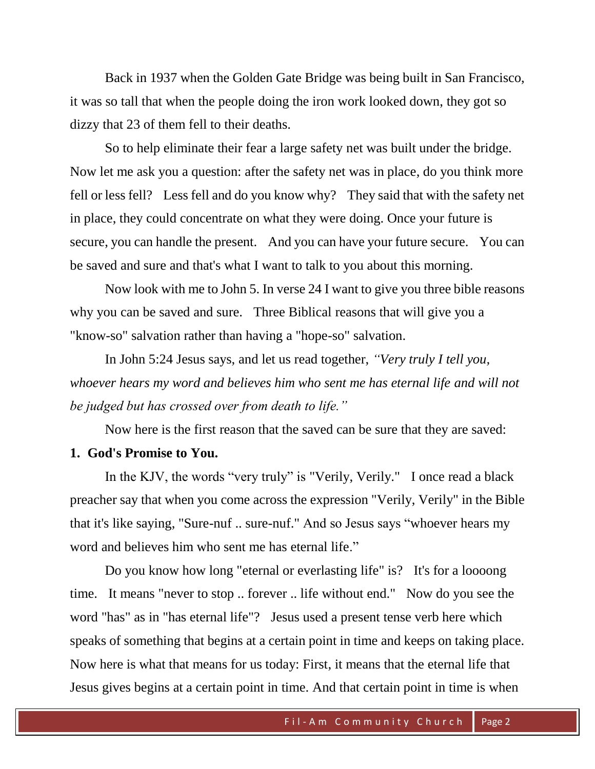Back in 1937 when the Golden Gate Bridge was being built in San Francisco, it was so tall that when the people doing the iron work looked down, they got so dizzy that 23 of them fell to their deaths.

So to help eliminate their fear a large safety net was built under the bridge. Now let me ask you a question: after the safety net was in place, do you think more fell or less fell? Less fell and do you know why? They said that with the safety net in place, they could concentrate on what they were doing. Once your future is secure, you can handle the present. And you can have your future secure. You can be saved and sure and that's what I want to talk to you about this morning.

Now look with me to John 5. In verse 24 I want to give you three bible reasons why you can be saved and sure. Three Biblical reasons that will give you a "know-so" salvation rather than having a "hope-so" salvation.

In John 5:24 Jesus says, and let us read together, *"Very truly I tell you, whoever hears my word and believes him who sent me has eternal life and will not be judged but has crossed over from death to life."*

Now here is the first reason that the saved can be sure that they are saved:

#### **1. God's Promise to You.**

In the KJV, the words "very truly" is "Verily, Verily." I once read a black preacher say that when you come across the expression "Verily, Verily" in the Bible that it's like saying, "Sure-nuf .. sure-nuf." And so Jesus says "whoever hears my word and believes him who sent me has eternal life."

Do you know how long "eternal or everlasting life" is? It's for a loooong time. It means "never to stop .. forever .. life without end." Now do you see the word "has" as in "has eternal life"? Jesus used a present tense verb here which speaks of something that begins at a certain point in time and keeps on taking place. Now here is what that means for us today: First, it means that the eternal life that Jesus gives begins at a certain point in time. And that certain point in time is when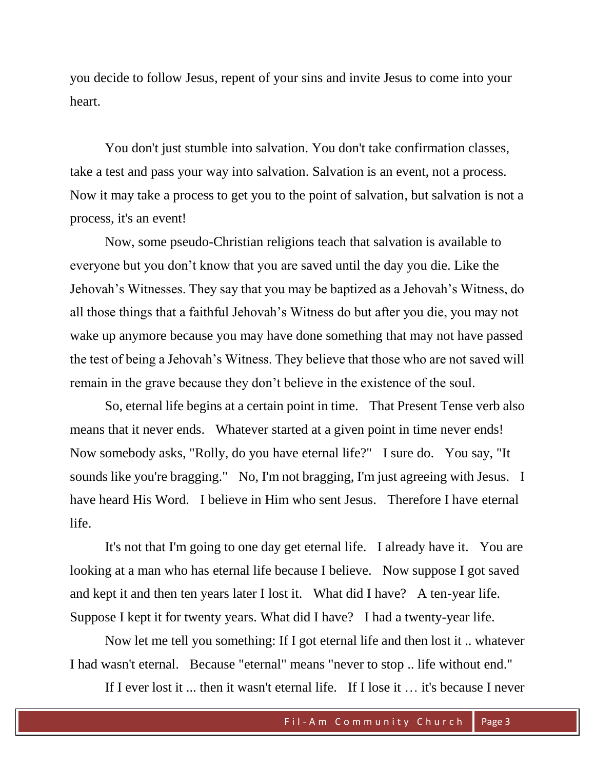you decide to follow Jesus, repent of your sins and invite Jesus to come into your heart.

You don't just stumble into salvation. You don't take confirmation classes, take a test and pass your way into salvation. Salvation is an event, not a process. Now it may take a process to get you to the point of salvation, but salvation is not a process, it's an event!

Now, some pseudo-Christian religions teach that salvation is available to everyone but you don't know that you are saved until the day you die. Like the Jehovah's Witnesses. They say that you may be baptized as a Jehovah's Witness, do all those things that a faithful Jehovah's Witness do but after you die, you may not wake up anymore because you may have done something that may not have passed the test of being a Jehovah's Witness. They believe that those who are not saved will remain in the grave because they don't believe in the existence of the soul.

So, eternal life begins at a certain point in time. That Present Tense verb also means that it never ends. Whatever started at a given point in time never ends! Now somebody asks, "Rolly, do you have eternal life?" I sure do. You say, "It sounds like you're bragging." No, I'm not bragging, I'm just agreeing with Jesus. I have heard His Word. I believe in Him who sent Jesus. Therefore I have eternal life.

It's not that I'm going to one day get eternal life. I already have it. You are looking at a man who has eternal life because I believe. Now suppose I got saved and kept it and then ten years later I lost it. What did I have? A ten-year life. Suppose I kept it for twenty years. What did I have? I had a twenty-year life.

Now let me tell you something: If I got eternal life and then lost it .. whatever I had wasn't eternal. Because "eternal" means "never to stop .. life without end."

If I ever lost it ... then it wasn't eternal life. If I lose it … it's because I never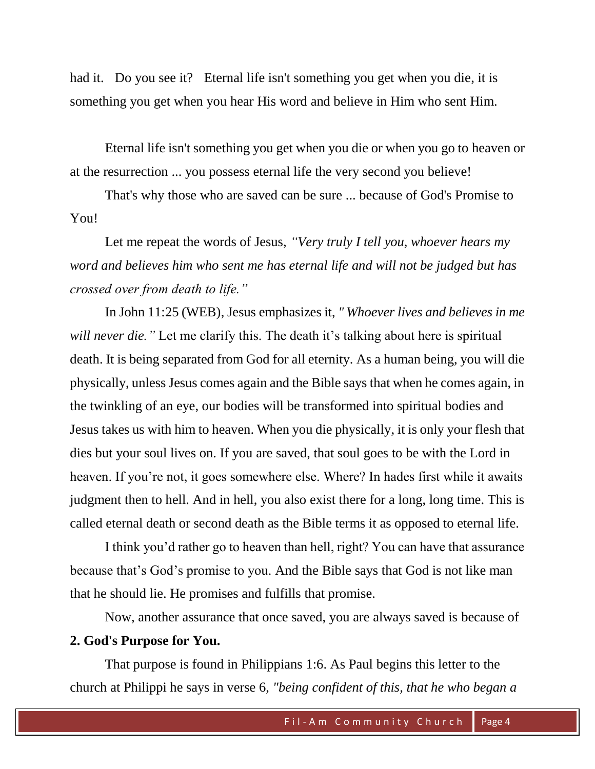had it. Do you see it? Eternal life isn't something you get when you die, it is something you get when you hear His word and believe in Him who sent Him.

Eternal life isn't something you get when you die or when you go to heaven or at the resurrection ... you possess eternal life the very second you believe!

That's why those who are saved can be sure ... because of God's Promise to You!

 Let me repeat the words of Jesus, *"Very truly I tell you, whoever hears my word and believes him who sent me has eternal life and will not be judged but has crossed over from death to life."*

In John 11:25 (WEB), Jesus emphasizes it, *" Whoever lives and believes in me will never die.*" Let me clarify this. The death it's talking about here is spiritual death. It is being separated from God for all eternity. As a human being, you will die physically, unless Jesus comes again and the Bible says that when he comes again, in the twinkling of an eye, our bodies will be transformed into spiritual bodies and Jesus takes us with him to heaven. When you die physically, it is only your flesh that dies but your soul lives on. If you are saved, that soul goes to be with the Lord in heaven. If you're not, it goes somewhere else. Where? In hades first while it awaits judgment then to hell. And in hell, you also exist there for a long, long time. This is called eternal death or second death as the Bible terms it as opposed to eternal life.

I think you'd rather go to heaven than hell, right? You can have that assurance because that's God's promise to you. And the Bible says that God is not like man that he should lie. He promises and fulfills that promise.

Now, another assurance that once saved, you are always saved is because of

## **2. God's Purpose for You.**

That purpose is found in Philippians 1:6. As Paul begins this letter to the church at Philippi he says in verse 6, *"being confident of this, that he who began a*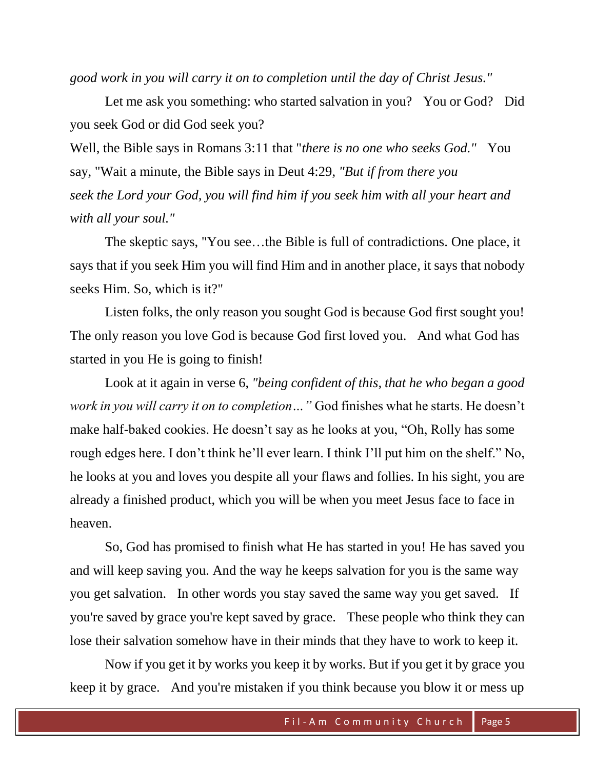*good work in you will carry it on to completion until the day of Christ Jesus."*

Let me ask you something: who started salvation in you? You or God? Did you seek God or did God seek you?

Well, the Bible says in Romans 3:11 that "*there is no one who seeks God."* You say, "Wait a minute, the Bible says in Deut 4:29, *"But if from there you seek the Lord your God, you will find him if you seek him with all your heart and with all your soul."*

The skeptic says, "You see…the Bible is full of contradictions. One place, it says that if you seek Him you will find Him and in another place, it says that nobody seeks Him. So, which is it?"

Listen folks, the only reason you sought God is because God first sought you! The only reason you love God is because God first loved you. And what God has started in you He is going to finish!

Look at it again in verse 6, *"being confident of this, that he who began a good work in you will carry it on to completion…"* God finishes what he starts. He doesn't make half-baked cookies. He doesn't say as he looks at you, "Oh, Rolly has some rough edges here. I don't think he'll ever learn. I think I'll put him on the shelf." No, he looks at you and loves you despite all your flaws and follies. In his sight, you are already a finished product, which you will be when you meet Jesus face to face in heaven.

So, God has promised to finish what He has started in you! He has saved you and will keep saving you. And the way he keeps salvation for you is the same way you get salvation. In other words you stay saved the same way you get saved. If you're saved by grace you're kept saved by grace. These people who think they can lose their salvation somehow have in their minds that they have to work to keep it.

Now if you get it by works you keep it by works. But if you get it by grace you keep it by grace. And you're mistaken if you think because you blow it or mess up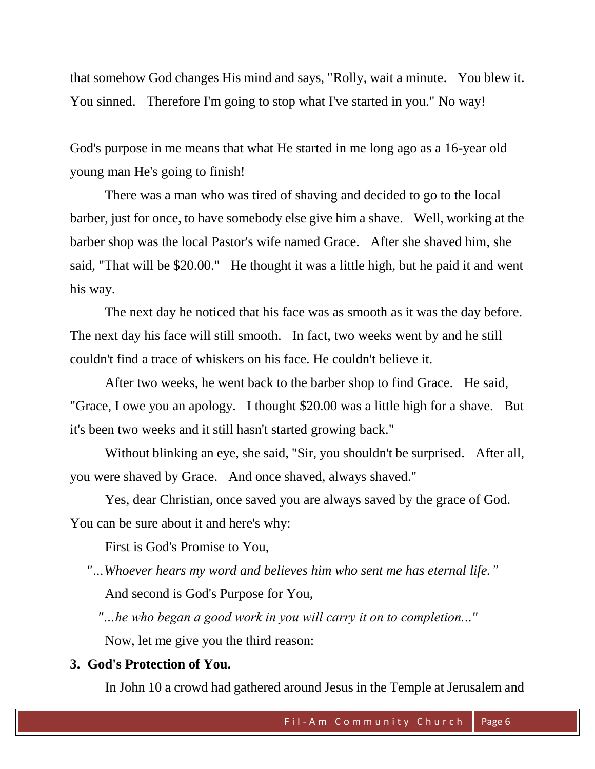that somehow God changes His mind and says, "Rolly, wait a minute. You blew it. You sinned. Therefore I'm going to stop what I've started in you." No way!

God's purpose in me means that what He started in me long ago as a 16-year old young man He's going to finish!

There was a man who was tired of shaving and decided to go to the local barber, just for once, to have somebody else give him a shave. Well, working at the barber shop was the local Pastor's wife named Grace. After she shaved him, she said, "That will be \$20.00." He thought it was a little high, but he paid it and went his way.

The next day he noticed that his face was as smooth as it was the day before. The next day his face will still smooth. In fact, two weeks went by and he still couldn't find a trace of whiskers on his face. He couldn't believe it.

After two weeks, he went back to the barber shop to find Grace. He said, "Grace, I owe you an apology. I thought \$20.00 was a little high for a shave. But it's been two weeks and it still hasn't started growing back."

Without blinking an eye, she said, "Sir, you shouldn't be surprised. After all, you were shaved by Grace. And once shaved, always shaved."

Yes, dear Christian, once saved you are always saved by the grace of God. You can be sure about it and here's why:

First is God's Promise to You,

 *"…Whoever hears my word and believes him who sent me has eternal life."* And second is God's Purpose for You,

 *"…he who began a good work in you will carry it on to completion..."* Now, let me give you the third reason:

## **3. God's Protection of You.**

In John 10 a crowd had gathered around Jesus in the Temple at Jerusalem and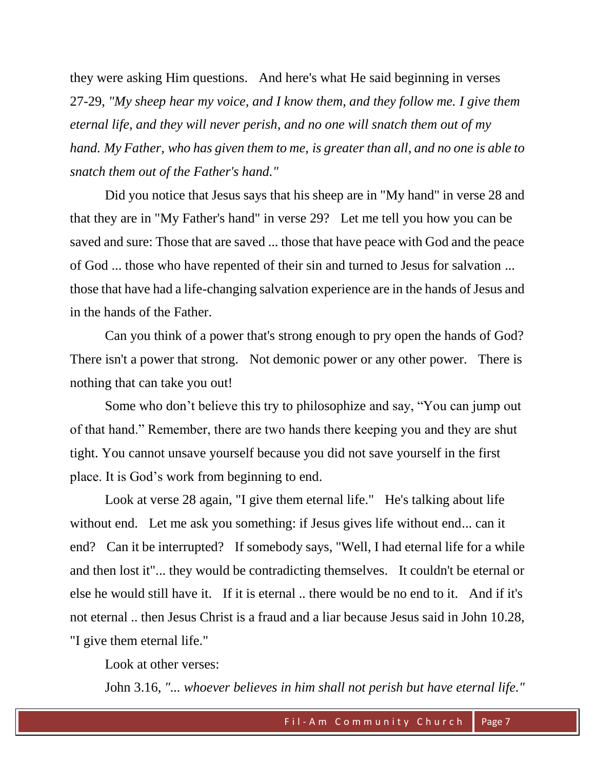they were asking Him questions. And here's what He said beginning in verses 27-29, *"My sheep hear my voice, and I know them, and they follow me. I give them eternal life, and they will never perish, and no one will snatch them out of my hand. My Father, who has given them to me, is greater than all, and no one is able to snatch them out of the Father's hand."*

Did you notice that Jesus says that his sheep are in "My hand" in verse 28 and that they are in "My Father's hand" in verse 29? Let me tell you how you can be saved and sure: Those that are saved ... those that have peace with God and the peace of God ... those who have repented of their sin and turned to Jesus for salvation ... those that have had a life-changing salvation experience are in the hands of Jesus and in the hands of the Father.

Can you think of a power that's strong enough to pry open the hands of God? There isn't a power that strong. Not demonic power or any other power. There is nothing that can take you out!

Some who don't believe this try to philosophize and say, "You can jump out of that hand." Remember, there are two hands there keeping you and they are shut tight. You cannot unsave yourself because you did not save yourself in the first place. It is God's work from beginning to end.

Look at verse 28 again, "I give them eternal life." He's talking about life without end. Let me ask you something: if Jesus gives life without end... can it end? Can it be interrupted? If somebody says, "Well, I had eternal life for a while and then lost it"... they would be contradicting themselves. It couldn't be eternal or else he would still have it. If it is eternal .. there would be no end to it. And if it's not eternal .. then Jesus Christ is a fraud and a liar because Jesus said in John 10.28, "I give them eternal life."

Look at other verses:

John 3.16, *"... whoever believes in him shall not perish but have eternal life."*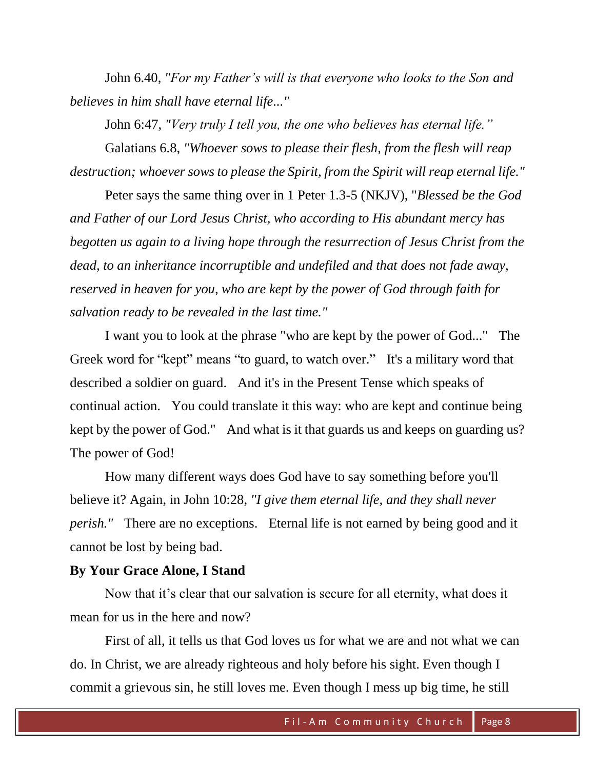John 6.40, *"For my Father's will is that everyone who looks to the Son and believes in him shall have eternal life..."*

John 6:47, *"Very truly I tell you, the one who believes has eternal life."*

Galatians 6.8, *"Whoever sows to please their flesh, from the flesh will reap destruction; whoever sows to please the Spirit, from the Spirit will reap eternal life."*

Peter says the same thing over in 1 Peter 1.3-5 (NKJV), "*Blessed be the God and Father of our Lord Jesus Christ, who according to His abundant mercy has begotten us again to a living hope through the resurrection of Jesus Christ from the dead, to an inheritance incorruptible and undefiled and that does not fade away, reserved in heaven for you, who are kept by the power of God through faith for salvation ready to be revealed in the last time."*

I want you to look at the phrase "who are kept by the power of God..." The Greek word for "kept" means "to guard, to watch over." It's a military word that described a soldier on guard. And it's in the Present Tense which speaks of continual action. You could translate it this way: who are kept and continue being kept by the power of God." And what is it that guards us and keeps on guarding us? The power of God!

How many different ways does God have to say something before you'll believe it? Again, in John 10:28, *"I give them eternal life, and they shall never perish."* There are no exceptions. Eternal life is not earned by being good and it cannot be lost by being bad.

### **By Your Grace Alone, I Stand**

Now that it's clear that our salvation is secure for all eternity, what does it mean for us in the here and now?

First of all, it tells us that God loves us for what we are and not what we can do. In Christ, we are already righteous and holy before his sight. Even though I commit a grievous sin, he still loves me. Even though I mess up big time, he still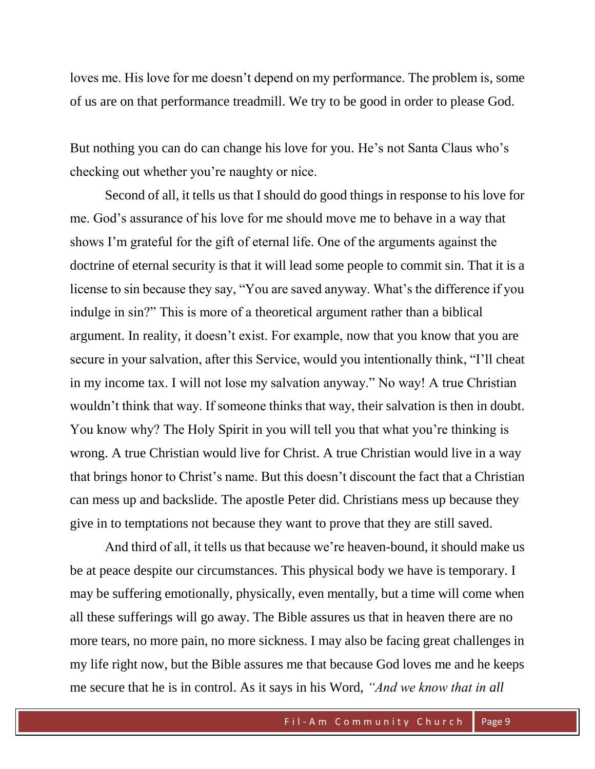loves me. His love for me doesn't depend on my performance. The problem is, some of us are on that performance treadmill. We try to be good in order to please God.

But nothing you can do can change his love for you. He's not Santa Claus who's checking out whether you're naughty or nice.

Second of all, it tells us that I should do good things in response to his love for me. God's assurance of his love for me should move me to behave in a way that shows I'm grateful for the gift of eternal life. One of the arguments against the doctrine of eternal security is that it will lead some people to commit sin. That it is a license to sin because they say, "You are saved anyway. What's the difference if you indulge in sin?" This is more of a theoretical argument rather than a biblical argument. In reality, it doesn't exist. For example, now that you know that you are secure in your salvation, after this Service, would you intentionally think, "I'll cheat in my income tax. I will not lose my salvation anyway." No way! A true Christian wouldn't think that way. If someone thinks that way, their salvation is then in doubt. You know why? The Holy Spirit in you will tell you that what you're thinking is wrong. A true Christian would live for Christ. A true Christian would live in a way that brings honor to Christ's name. But this doesn't discount the fact that a Christian can mess up and backslide. The apostle Peter did. Christians mess up because they give in to temptations not because they want to prove that they are still saved.

And third of all, it tells us that because we're heaven-bound, it should make us be at peace despite our circumstances. This physical body we have is temporary. I may be suffering emotionally, physically, even mentally, but a time will come when all these sufferings will go away. The Bible assures us that in heaven there are no more tears, no more pain, no more sickness. I may also be facing great challenges in my life right now, but the Bible assures me that because God loves me and he keeps me secure that he is in control. As it says in his Word, *"And we know that in all*